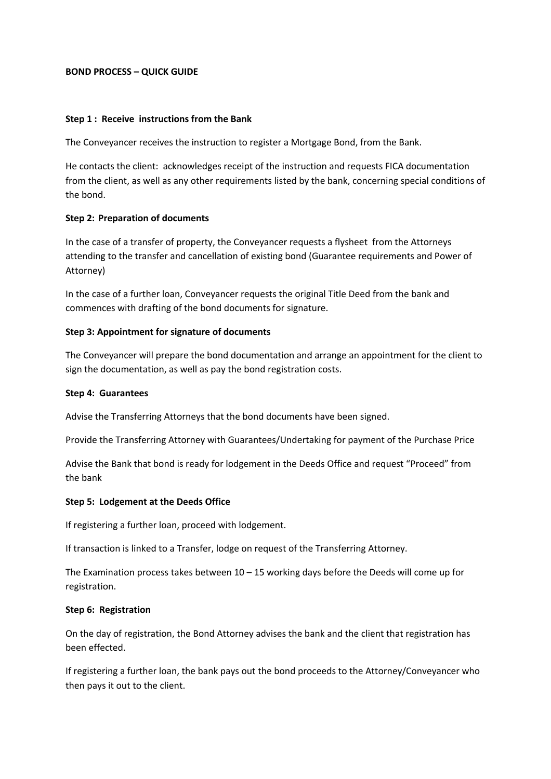# **BOND PROCESS – QUICK GUIDE**

## **Step 1 : Receive instructions from the Bank**

The Conveyancer receives the instruction to register a Mortgage Bond, from the Bank.

He contacts the client: acknowledges receipt of the instruction and requests FICA documentation from the client, as well as any other requirements listed by the bank, concerning special conditions of the bond.

## **Step 2: Preparation of documents**

In the case of a transfer of property, the Conveyancer requests a flysheet from the Attorneys attending to the transfer and cancellation of existing bond (Guarantee requirements and Power of Attorney)

In the case of a further loan, Conveyancer requests the original Title Deed from the bank and commences with drafting of the bond documents for signature.

## **Step 3: Appointment for signature of documents**

The Conveyancer will prepare the bond documentation and arrange an appointment for the client to sign the documentation, as well as pay the bond registration costs.

#### **Step 4: Guarantees**

Advise the Transferring Attorneys that the bond documents have been signed.

Provide the Transferring Attorney with Guarantees/Undertaking for payment of the Purchase Price

Advise the Bank that bond is ready for lodgement in the Deeds Office and request "Proceed" from the bank

#### **Step 5: Lodgement at the Deeds Office**

If registering a further loan, proceed with lodgement.

If transaction is linked to a Transfer, lodge on request of the Transferring Attorney.

The Examination process takes between  $10 - 15$  working days before the Deeds will come up for registration.

# **Step 6: Registration**

On the day of registration, the Bond Attorney advises the bank and the client that registration has been effected.

If registering a further loan, the bank pays out the bond proceeds to the Attorney/Conveyancer who then pays it out to the client.